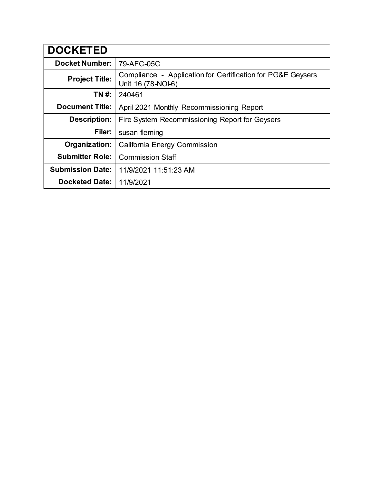| <b>DOCKETED</b>         |                                                                                   |
|-------------------------|-----------------------------------------------------------------------------------|
| <b>Docket Number:</b>   | 79-AFC-05C                                                                        |
| <b>Project Title:</b>   | Compliance - Application for Certification for PG&E Geysers<br>Unit 16 (78-NOI-6) |
| TN #:                   | 240461                                                                            |
| <b>Document Title:</b>  | April 2021 Monthly Recommissioning Report                                         |
| <b>Description:</b>     | Fire System Recommissioning Report for Geysers                                    |
| Filer:                  | susan fleming                                                                     |
| Organization:           | <b>California Energy Commission</b>                                               |
| <b>Submitter Role:</b>  | <b>Commission Staff</b>                                                           |
| <b>Submission Date:</b> | 11/9/2021 11:51:23 AM                                                             |
| <b>Docketed Date:</b>   | 11/9/2021                                                                         |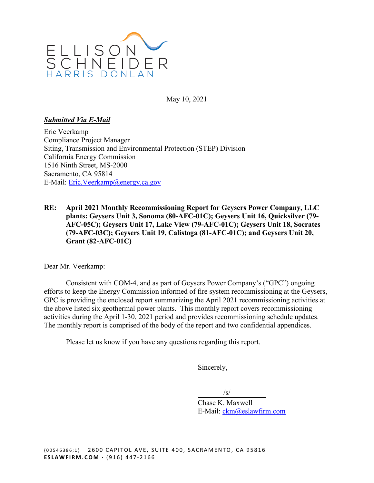

May 10, 2021

### *Submitted Via E-Mail*

Eric Veerkamp Compliance Project Manager Siting, Transmission and Environmental Protection (STEP) Division California Energy Commission 1516 Ninth Street, MS-2000 Sacramento, CA 95814 E-Mail: Eric.Veerkamp@energy.ca.gov

**RE: April 2021 Monthly Recommissioning Report for Geysers Power Company, LLC plants: Geysers Unit 3, Sonoma (80-AFC-01C); Geysers Unit 16, Quicksilver (79- AFC-05C); Geysers Unit 17, Lake View (79-AFC-01C); Geysers Unit 18, Socrates (79-AFC-03C); Geysers Unit 19, Calistoga (81-AFC-01C); and Geysers Unit 20, Grant (82-AFC-01C)** 

Dear Mr. Veerkamp:

Consistent with COM-4, and as part of Geysers Power Company's ("GPC") ongoing efforts to keep the Energy Commission informed of fire system recommissioning at the Geysers, GPC is providing the enclosed report summarizing the April 2021 recommissioning activities at the above listed six geothermal power plants. This monthly report covers recommissioning activities during the April 1-30, 2021 period and provides recommissioning schedule updates. The monthly report is comprised of the body of the report and two confidential appendices.

Please let us know if you have any questions regarding this report.

Sincerely,

 $\sqrt{s}/\sqrt{s}$ 

Chase K. Maxwell E-Mail: [ckm@eslawfirm.com](mailto:ckm@eslawfirm.com)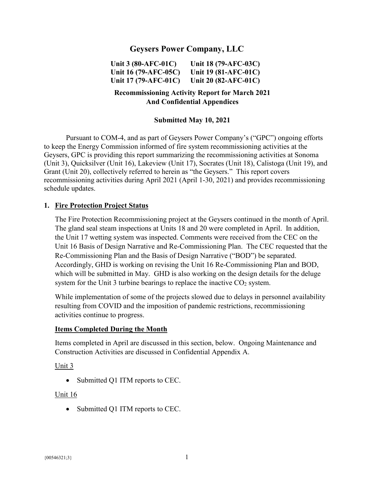# **Geysers Power Company, LLC**

**Unit 3 (80-AFC-01C) Unit 16 (79-AFC-05C) Unit 17 (79-AFC-01C) Unit 18 (79-AFC-03C) Unit 19 (81-AFC-01C) Unit 20 (82-AFC-01C)**

## **Recommissioning Activity Report for March 2021 And Confidential Appendices**

### **Submitted May 10, 2021**

Pursuant to COM-4, and as part of Geysers Power Company's ("GPC") ongoing efforts to keep the Energy Commission informed of fire system recommissioning activities at the Geysers, GPC is providing this report summarizing the recommissioning activities at Sonoma (Unit 3), Quicksilver (Unit 16), Lakeview (Unit 17), Socrates (Unit 18), Calistoga (Unit 19), and Grant (Unit 20), collectively referred to herein as "the Geysers." This report covers recommissioning activities during April 2021 (April 1-30, 2021) and provides recommissioning schedule updates.

#### **1. Fire Protection Project Status**

The Fire Protection Recommissioning project at the Geysers continued in the month of April. The gland seal steam inspections at Units 18 and 20 were completed in April. In addition, the Unit 17 wetting system was inspected. Comments were received from the CEC on the Unit 16 Basis of Design Narrative and Re-Commissioning Plan. The CEC requested that the Re-Commissioning Plan and the Basis of Design Narrative ("BOD") be separated. Accordingly, GHD is working on revising the Unit 16 Re-Commissioning Plan and BOD, which will be submitted in May. GHD is also working on the design details for the deluge system for the Unit 3 turbine bearings to replace the inactive  $CO<sub>2</sub>$  system.

While implementation of some of the projects slowed due to delays in personnel availability resulting from COVID and the imposition of pandemic restrictions, recommissioning activities continue to progress.

#### **Items Completed During the Month**

Items completed in April are discussed in this section, below. Ongoing Maintenance and Construction Activities are discussed in Confidential Appendix A.

Unit 3

• Submitted Q1 ITM reports to CEC.

#### Unit 16

• Submitted Q1 ITM reports to CEC.